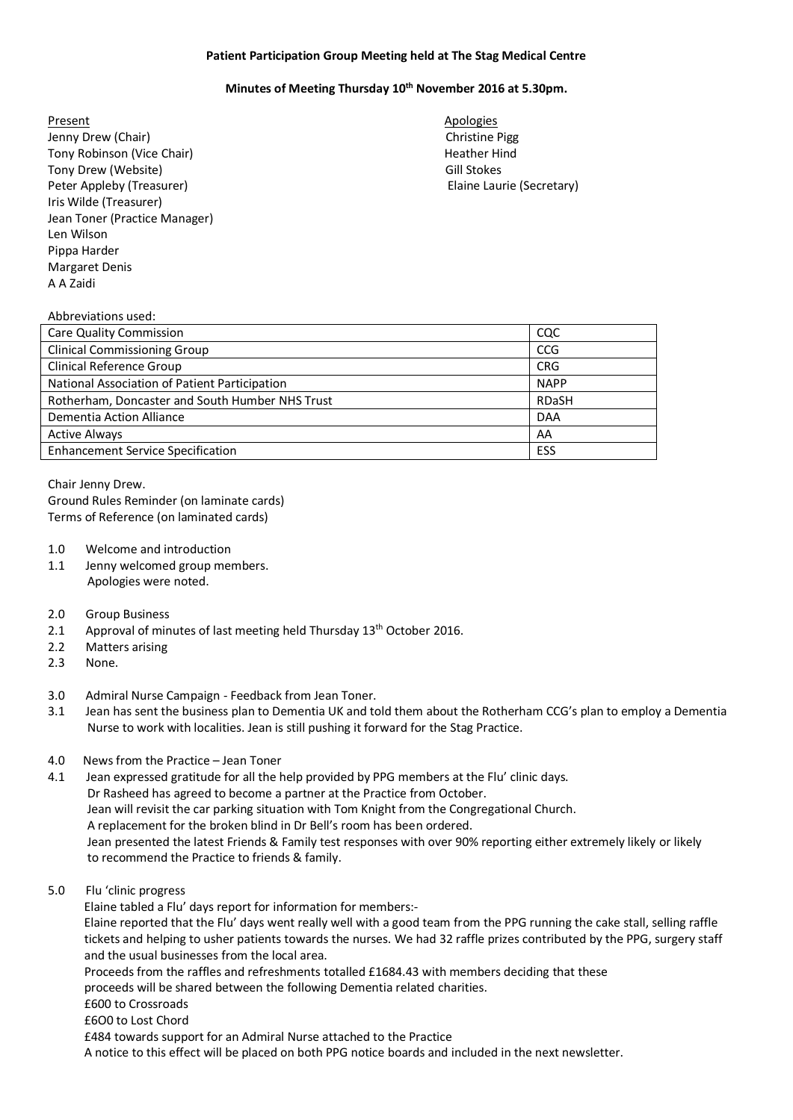## **Patient Participation Group Meeting held at The Stag Medical Centre**

## **Minutes of Meeting Thursday 10th November 2016 at 5.30pm.**

Present Apologies **Apologies** Jenny Drew (Chair) **Christian Christian Christian Christian Christian Christian Christian Christian Christian Christian Pigg** Tony Robinson (Vice Chair) **Heather Hind** Tony Drew (Website) Gill Stokes Peter Appleby (Treasurer) The Controller Controller Elaine Laurie (Secretary) Elaine Laurie (Secretary) Iris Wilde (Treasurer) Jean Toner (Practice Manager) Len Wilson Pippa Harder Margaret Denis A A Zaidi

## Abbreviations used:

| Care Quality Commission                         | CQC          |
|-------------------------------------------------|--------------|
| <b>Clinical Commissioning Group</b>             | CCG          |
| Clinical Reference Group                        | <b>CRG</b>   |
| National Association of Patient Participation   | <b>NAPP</b>  |
| Rotherham, Doncaster and South Humber NHS Trust | <b>RDaSH</b> |
| Dementia Action Alliance                        | <b>DAA</b>   |
| <b>Active Always</b>                            | AA           |
| <b>Enhancement Service Specification</b>        | ESS          |

Chair Jenny Drew.

Ground Rules Reminder (on laminate cards) Terms of Reference (on laminated cards)

- 1.0 Welcome and introduction
- 1.1 Jenny welcomed group members. Apologies were noted.

## 2.0 Group Business

- 2.1 Approval of minutes of last meeting held Thursday 13<sup>th</sup> October 2016.
- 2.2 Matters arising
- 2.3 None.
- 3.0 Admiral Nurse Campaign Feedback from Jean Toner.
- 3.1 Jean has sent the business plan to Dementia UK and told them about the Rotherham CCG's plan to employ a Dementia Nurse to work with localities. Jean is still pushing it forward for the Stag Practice.
- 4.0 News from the Practice Jean Toner

4.1 Jean expressed gratitude for all the help provided by PPG members at the Flu' clinic days. Dr Rasheed has agreed to become a partner at the Practice from October. Jean will revisit the car parking situation with Tom Knight from the Congregational Church. A replacement for the broken blind in Dr Bell's room has been ordered. Jean presented the latest Friends & Family test responses with over 90% reporting either extremely likely or likely to recommend the Practice to friends & family.

5.0 Flu 'clinic progress

Elaine tabled a Flu' days report for information for members:-

 Elaine reported that the Flu' days went really well with a good team from the PPG running the cake stall, selling raffle tickets and helping to usher patients towards the nurses. We had 32 raffle prizes contributed by the PPG, surgery staff and the usual businesses from the local area.

Proceeds from the raffles and refreshments totalled £1684.43 with members deciding that these

proceeds will be shared between the following Dementia related charities.

- £600 to Crossroads
- £6O0 to Lost Chord

£484 towards support for an Admiral Nurse attached to the Practice

A notice to this effect will be placed on both PPG notice boards and included in the next newsletter.